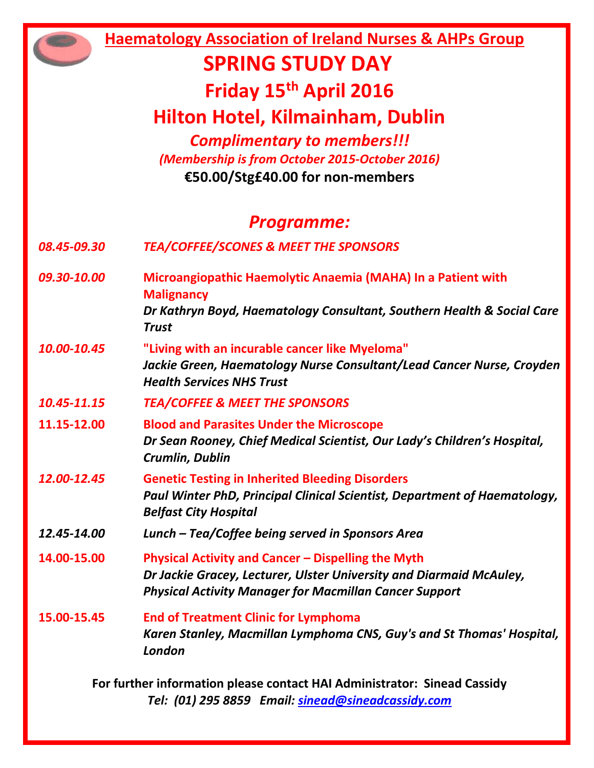**Haematology Association of Ireland Nurses & AHPs Group SPRING STUDY DAY Friday 15th April 2016 Hilton Hotel, Kilmainham, Dublin** *Complimentary to members!!! (Membership is from October 2015-October 2016)* **€50.00/Stg£40.00 for non-members** *Programme: 08.45-09.30 TEA/COFFEE/SCONES & MEET THE SPONSORS 09.30-10.00* **Microangiopathic Haemolytic Anaemia (MAHA) In a Patient with Malignancy**  *Dr Kathryn Boyd, Haematology Consultant, Southern Health & Social Care Trust 10.00-10.45* **"Living with an incurable cancer like Myeloma"** *Jackie Green, Haematology Nurse Consultant/Lead Cancer Nurse, Croyden Health Services NHS Trust 10.45-11.15 TEA/COFFEE & MEET THE SPONSORS* **11.15-12.00 Blood and Parasites Under the Microscope** *Dr Sean Rooney, Chief Medical Scientist, Our Lady's Children's Hospital, Crumlin, Dublin 12.00-12.45* **Genetic Testing in Inherited Bleeding Disorders** *Paul Winter PhD, Principal Clinical Scientist, Department of Haematology, Belfast City Hospital 12.45-14.00 Lunch – Tea/Coffee being served in Sponsors Area* **14.00-15.00 Physical Activity and Cancer – Dispelling the Myth** *Dr Jackie Gracey, Lecturer, Ulster University and Diarmaid McAuley, Physical Activity Manager for Macmillan Cancer Support* **15.00-15.45 End of Treatment Clinic for Lymphoma** *Karen Stanley, Macmillan Lymphoma CNS, Guy's and St Thomas' Hospital, London* **For further information please contact HAI Administrator: Sinead Cassidy** *Tel: (01) 295 8859 Email: [sinead@sineadcassidy.com](mailto:sinead@sineadcassidy.com)*